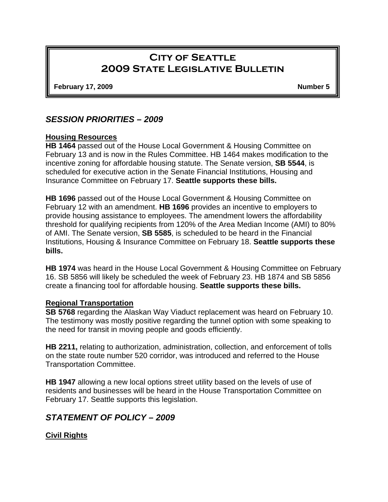# **City of Seattle 2009 State Legislative Bulletin**

**February 17, 2009 Number 5 Number 5** 

## *SESSION PRIORITIES – 2009*

#### **Housing Resources**

**HB 1464** passed out of the House Local Government & Housing Committee on February 13 and is now in the Rules Committee. HB 1464 makes modification to the incentive zoning for affordable housing statute. The Senate version, **SB 5544**, is scheduled for executive action in the Senate Financial Institutions, Housing and Insurance Committee on February 17. **Seattle supports these bills.**

**HB 1696** passed out of the House Local Government & Housing Committee on February 12 with an amendment. **HB 1696** provides an incentive to employers to provide housing assistance to employees. The amendment lowers the affordability threshold for qualifying recipients from 120% of the Area Median Income (AMI) to 80% of AMI. The Senate version, **SB 5585**, is scheduled to be heard in the Financial Institutions, Housing & Insurance Committee on February 18. **Seattle supports these bills.** 

**HB 1974** was heard in the House Local Government & Housing Committee on February 16. SB 5856 will likely be scheduled the week of February 23. HB 1874 and SB 5856 create a financing tool for affordable housing. **Seattle supports these bills.** 

#### **Regional Transportation**

**SB 5768** regarding the Alaskan Way Viaduct replacement was heard on February 10. The testimony was mostly positive regarding the tunnel option with some speaking to the need for transit in moving people and goods efficiently.

**HB 2211,** relating to authorization, administration, collection, and enforcement of tolls on the state route number 520 corridor, was introduced and referred to the House Transportation Committee.

**HB 1947** allowing a new local options street utility based on the levels of use of residents and businesses will be heard in the House Transportation Committee on February 17. Seattle supports this legislation.

## *STATEMENT OF POLICY – 2009*

### **Civil Rights**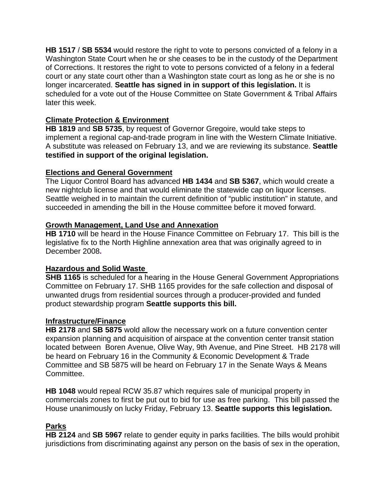**HB 1517** / **SB 5534** would restore the right to vote to persons convicted of a felony in a Washington State Court when he or she ceases to be in the custody of the Department of Corrections. It restores the right to vote to persons convicted of a felony in a federal court or any state court other than a Washington state court as long as he or she is no longer incarcerated. **Seattle has signed in in support of this legislation.** It is scheduled for a vote out of the House Committee on State Government & Tribal Affairs later this week.

## **Climate Protection & Environment**

**HB 1819** and **SB 5735**, by request of Governor Gregoire, would take steps to implement a regional cap-and-trade program in line with the Western Climate Initiative. A substitute was released on February 13, and we are reviewing its substance. **Seattle testified in support of the original legislation.** 

### **Elections and General Government**

The Liquor Control Board has advanced **HB 1434** and **SB 5367**, which would create a new nightclub license and that would eliminate the statewide cap on liquor licenses. Seattle weighed in to maintain the current definition of "public institution" in statute, and succeeded in amending the bill in the House committee before it moved forward.

### **Growth Management, Land Use and Annexation**

**HB 1710** will be heard in the House Finance Committee on February 17. This bill is the legislative fix to the North Highline annexation area that was originally agreed to in December 2008**.** 

### **Hazardous and Solid Waste**

**SHB 1165** is scheduled for a hearing in the House General Government Appropriations Committee on February 17. SHB 1165 provides for the safe collection and disposal of unwanted drugs from residential sources through a producer-provided and funded product stewardship program **Seattle supports this bill.** 

### **Infrastructure/Finance**

**HB 2178** and **SB 5875** wold allow the necessary work on a future convention center expansion planning and acquisition of airspace at the convention center transit station located between Boren Avenue, Olive Way, 9th Avenue, and Pine Street. HB 2178 will be heard on February 16 in the Community & Economic Development & Trade Committee and SB 5875 will be heard on February 17 in the Senate Ways & Means Committee.

**HB 1048** would repeal RCW 35.87 which requires sale of municipal property in commercials zones to first be put out to bid for use as free parking. This bill passed the House unanimously on lucky Friday, February 13. **Seattle supports this legislation.** 

### **Parks**

**HB 2124** and **SB 5967** relate to gender equity in parks facilities. The bills would prohibit jurisdictions from discriminating against any person on the basis of sex in the operation,